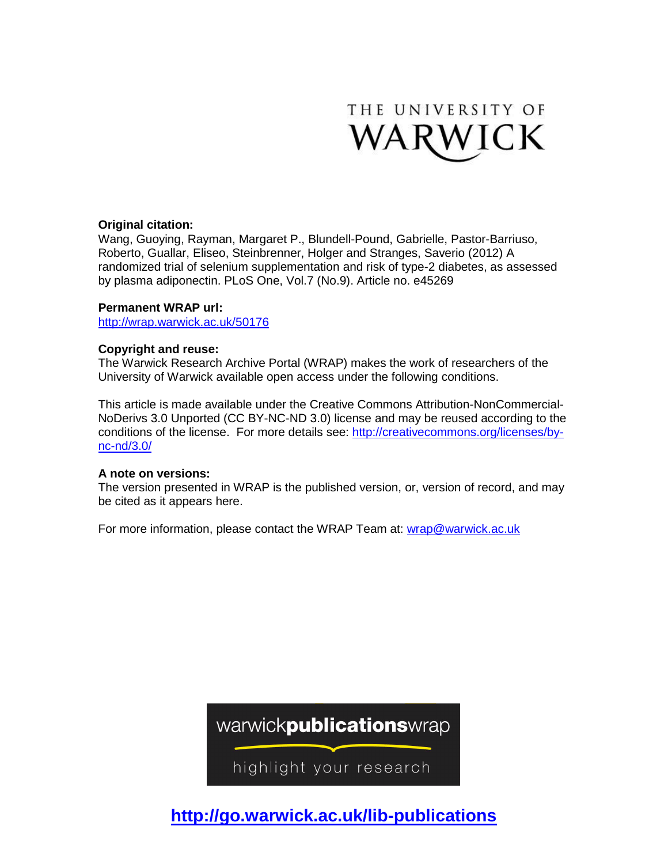

# **Original citation:**

Wang, Guoying, Rayman, Margaret P., Blundell-Pound, Gabrielle, Pastor-Barriuso, Roberto, Guallar, Eliseo, Steinbrenner, Holger and Stranges, Saverio (2012) A randomized trial of selenium supplementation and risk of type-2 diabetes, as assessed by plasma adiponectin. PLoS One, Vol.7 (No.9). Article no. e45269

# **Permanent WRAP url:**

<http://wrap.warwick.ac.uk/50176>

# **Copyright and reuse:**

The Warwick Research Archive Portal (WRAP) makes the work of researchers of the University of Warwick available open access under the following conditions.

This article is made available under the Creative Commons Attribution-NonCommercial-NoDerivs 3.0 Unported (CC BY-NC-ND 3.0) license and may be reused according to the conditions of the license. For more details see: [http://creativecommons.org/licenses/by](http://creativecommons.org/licenses/by-nc-nd/3.0/)[nc-nd/3.0/](http://creativecommons.org/licenses/by-nc-nd/3.0/)

# **A note on versions:**

The version presented in WRAP is the published version, or, version of record, and may be cited as it appears here.

For more information, please contact the WRAP Team at: [wrap@warwick.ac.uk](mailto:wrap@warwick.ac.uk)

warwickpublicationswrap

highlight your research

**http://go.warwick.ac.uk/lib-publications**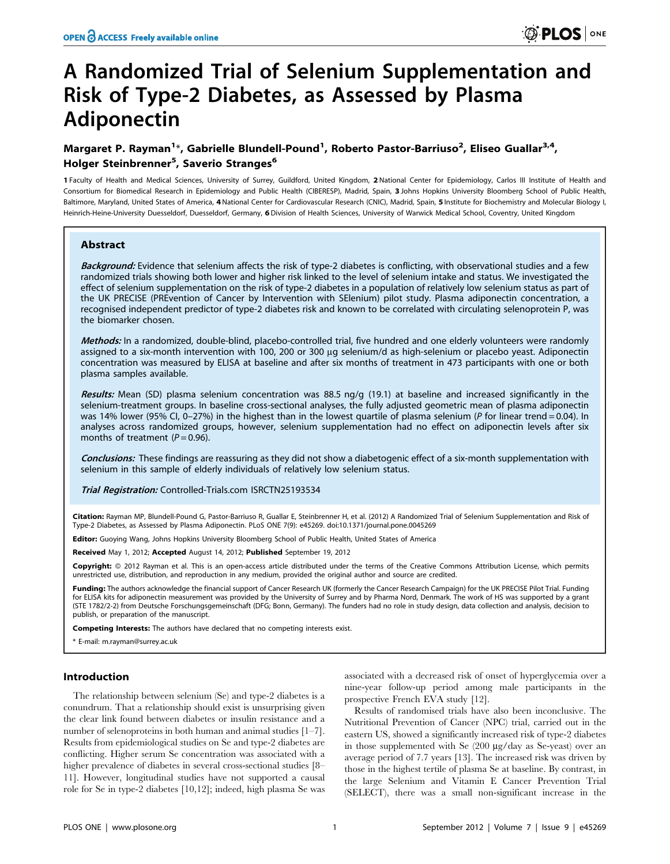# A Randomized Trial of Selenium Supplementation and Risk of Type-2 Diabetes, as Assessed by Plasma Adiponectin

# Margaret P. Rayman<sup>1</sup>\*, Gabrielle Blundell-Pound<sup>1</sup>, Roberto Pastor-Barriuso<sup>2</sup>, Eliseo Guallar<sup>3,4</sup>, Holger Steinbrenner<sup>5</sup>, Saverio Stranges<sup>6</sup>

1 Faculty of Health and Medical Sciences, University of Surrey, Guildford, United Kingdom, 2 National Center for Epidemiology, Carlos III Institute of Health and Consortium for Biomedical Research in Epidemiology and Public Health (CIBERESP), Madrid, Spain, 3 Johns Hopkins University Bloomberg School of Public Health, Baltimore, Maryland, United States of America, 4 National Center for Cardiovascular Research (CNIC), Madrid, Spain, 5 Institute for Biochemistry and Molecular Biology I, Heinrich-Heine-University Duesseldorf, Duesseldorf, Germany, 6Division of Health Sciences, University of Warwick Medical School, Coventry, United Kingdom

# Abstract

Background: Evidence that selenium affects the risk of type-2 diabetes is conflicting, with observational studies and a few randomized trials showing both lower and higher risk linked to the level of selenium intake and status. We investigated the effect of selenium supplementation on the risk of type-2 diabetes in a population of relatively low selenium status as part of the UK PRECISE (PREvention of Cancer by Intervention with SElenium) pilot study. Plasma adiponectin concentration, a recognised independent predictor of type-2 diabetes risk and known to be correlated with circulating selenoprotein P, was the biomarker chosen.

Methods: In a randomized, double-blind, placebo-controlled trial, five hundred and one elderly volunteers were randomly assigned to a six-month intervention with 100, 200 or 300 µg selenium/d as high-selenium or placebo yeast. Adiponectin concentration was measured by ELISA at baseline and after six months of treatment in 473 participants with one or both plasma samples available.

Results: Mean (SD) plasma selenium concentration was 88.5 ng/g (19.1) at baseline and increased significantly in the selenium-treatment groups. In baseline cross-sectional analyses, the fully adjusted geometric mean of plasma adiponectin was 14% lower (95% CI, 0–27%) in the highest than in the lowest quartile of plasma selenium (P for linear trend = 0.04). In analyses across randomized groups, however, selenium supplementation had no effect on adiponectin levels after six months of treatment  $(P = 0.96)$ .

Conclusions: These findings are reassuring as they did not show a diabetogenic effect of a six-month supplementation with selenium in this sample of elderly individuals of relatively low selenium status.

Trial Registration: Controlled-Trials.com ISRCTN25193534

Citation: Rayman MP, Blundell-Pound G, Pastor-Barriuso R, Guallar E, Steinbrenner H, et al. (2012) A Randomized Trial of Selenium Supplementation and Risk of Type-2 Diabetes, as Assessed by Plasma Adiponectin. PLoS ONE 7(9): e45269. doi:10.1371/journal.pone.0045269

Editor: Guoying Wang, Johns Hopkins University Bloomberg School of Public Health, United States of America

Received May 1, 2012; Accepted August 14, 2012; Published September 19, 2012

**Copyright:** © 2012 Rayman et al. This is an open-access article distributed under the terms of the Creative Commons Attribution License, which permits unrestricted use, distribution, and reproduction in any medium, provided the original author and source are credited.

Funding: The authors acknowledge the financial support of Cancer Research UK (formerly the Cancer Research Campaign) for the UK PRECISE Pilot Trial. Funding for ELISA kits for adiponectin measurement was provided by the University of Surrey and by Pharma Nord, Denmark. The work of HS was supported by a grant (STE 1782/2-2) from Deutsche Forschungsgemeinschaft (DFG; Bonn, Germany). The funders had no role in study design, data collection and analysis, decision to publish, or preparation of the manuscript.

Competing Interests: The authors have declared that no competing interests exist.

\* E-mail: m.rayman@surrey.ac.uk

## Introduction

The relationship between selenium (Se) and type-2 diabetes is a conundrum. That a relationship should exist is unsurprising given the clear link found between diabetes or insulin resistance and a number of selenoproteins in both human and animal studies [1–7]. Results from epidemiological studies on Se and type-2 diabetes are conflicting. Higher serum Se concentration was associated with a higher prevalence of diabetes in several cross-sectional studies [8– 11]. However, longitudinal studies have not supported a causal role for Se in type-2 diabetes [10,12]; indeed, high plasma Se was

associated with a decreased risk of onset of hyperglycemia over a nine-year follow-up period among male participants in the prospective French EVA study [12].

Results of randomised trials have also been inconclusive. The Nutritional Prevention of Cancer (NPC) trial, carried out in the eastern US, showed a significantly increased risk of type-2 diabetes in those supplemented with Se  $(200 \mu g/day)$  as Se-yeast) over an average period of 7.7 years [13]. The increased risk was driven by those in the highest tertile of plasma Se at baseline. By contrast, in the large Selenium and Vitamin E Cancer Prevention Trial (SELECT), there was a small non-significant increase in the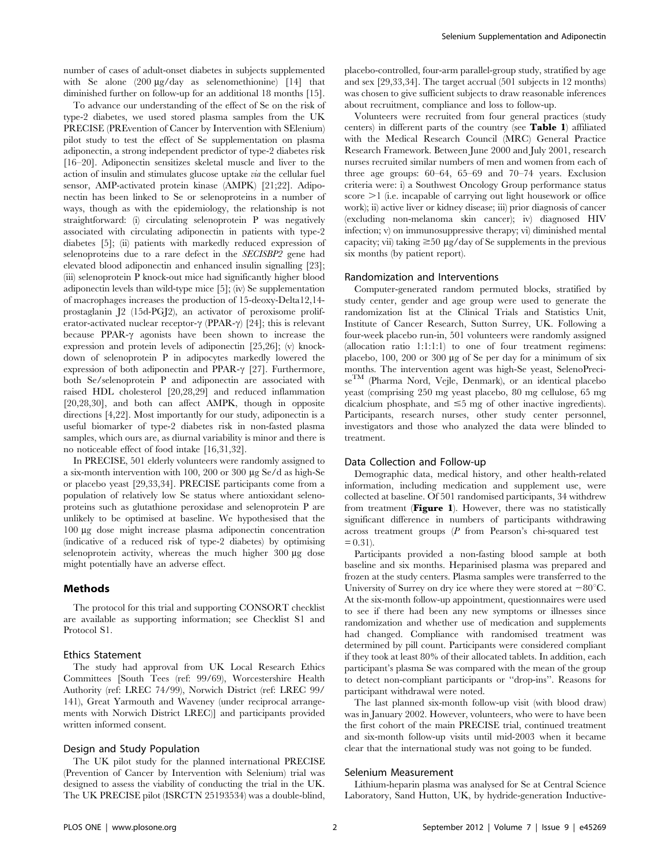number of cases of adult-onset diabetes in subjects supplemented with Se alone  $(200 \mu g/day)$  as selenomethionine) [14] that diminished further on follow-up for an additional 18 months [15].

To advance our understanding of the effect of Se on the risk of type-2 diabetes, we used stored plasma samples from the UK PRECISE (PREvention of Cancer by Intervention with SElenium) pilot study to test the effect of Se supplementation on plasma adiponectin, a strong independent predictor of type-2 diabetes risk [16–20]. Adiponectin sensitizes skeletal muscle and liver to the action of insulin and stimulates glucose uptake via the cellular fuel sensor, AMP-activated protein kinase (AMPK) [21;22]. Adiponectin has been linked to Se or selenoproteins in a number of ways, though as with the epidemiology, the relationship is not straightforward: (i) circulating selenoprotein P was negatively associated with circulating adiponectin in patients with type-2 diabetes [5]; (ii) patients with markedly reduced expression of selenoproteins due to a rare defect in the SECISBP2 gene had elevated blood adiponectin and enhanced insulin signalling [23]; (iii) selenoprotein P knock-out mice had significantly higher blood adiponectin levels than wild-type mice [5]; (iv) Se supplementation of macrophages increases the production of 15-deoxy-Delta12,14 prostaglanin J2 (15d-PGJ2), an activator of peroxisome proliferator-activated nuclear receptor- $\gamma$  (PPAR- $\gamma$ ) [24]; this is relevant because PPAR- $\gamma$  agonists have been shown to increase the expression and protein levels of adiponectin [25,26]; (v) knockdown of selenoprotein P in adipocytes markedly lowered the expression of both adiponectin and PPAR- $\gamma$  [27]. Furthermore, both Se/selenoprotein P and adiponectin are associated with raised HDL cholesterol [20,28,29] and reduced inflammation [20,28,30], and both can affect AMPK, though in opposite directions [4,22]. Most importantly for our study, adiponectin is a useful biomarker of type-2 diabetes risk in non-fasted plasma samples, which ours are, as diurnal variability is minor and there is no noticeable effect of food intake [16,31,32].

In PRECISE, 501 elderly volunteers were randomly assigned to a six-month intervention with 100, 200 or 300 µg Se/d as high-Se or placebo yeast [29,33,34]. PRECISE participants come from a population of relatively low Se status where antioxidant selenoproteins such as glutathione peroxidase and selenoprotein P are unlikely to be optimised at baseline. We hypothesised that the 100 mg dose might increase plasma adiponectin concentration (indicative of a reduced risk of type-2 diabetes) by optimising selenoprotein activity, whereas the much higher  $300 \mu g$  dose might potentially have an adverse effect.

#### Methods

The protocol for this trial and supporting CONSORT checklist are available as supporting information; see Checklist S1 and Protocol S1.

## Ethics Statement

The study had approval from UK Local Research Ethics Committees [South Tees (ref: 99/69), Worcestershire Health Authority (ref: LREC 74/99), Norwich District (ref: LREC 99/ 141), Great Yarmouth and Waveney (under reciprocal arrangements with Norwich District LREC)] and participants provided written informed consent.

### Design and Study Population

The UK pilot study for the planned international PRECISE (Prevention of Cancer by Intervention with Selenium) trial was designed to assess the viability of conducting the trial in the UK. The UK PRECISE pilot (ISRCTN 25193534) was a double-blind,

placebo-controlled, four-arm parallel-group study, stratified by age and sex [29,33,34]. The target accrual (501 subjects in 12 months) was chosen to give sufficient subjects to draw reasonable inferences about recruitment, compliance and loss to follow-up.

Volunteers were recruited from four general practices (study centers) in different parts of the country (see Table 1) affiliated with the Medical Research Council (MRC) General Practice Research Framework. Between June 2000 and July 2001, research nurses recruited similar numbers of men and women from each of three age groups: 60–64, 65–69 and 70–74 years. Exclusion criteria were: i) a Southwest Oncology Group performance status score  $>1$  (i.e. incapable of carrying out light housework or office work); ii) active liver or kidney disease; iii) prior diagnosis of cancer (excluding non-melanoma skin cancer); iv) diagnosed HIV infection; v) on immunosuppressive therapy; vi) diminished mental capacity; vii) taking  $\geq$ 50 µg/day of Se supplements in the previous six months (by patient report).

#### Randomization and Interventions

Computer-generated random permuted blocks, stratified by study center, gender and age group were used to generate the randomization list at the Clinical Trials and Statistics Unit, Institute of Cancer Research, Sutton Surrey, UK. Following a four-week placebo run-in, 501 volunteers were randomly assigned (allocation ratio 1:1:1:1) to one of four treatment regimens: placebo,  $100$ ,  $200$  or  $300 \mu g$  of Se per day for a minimum of six months. The intervention agent was high-Se yeast, SelenoPreciseTM (Pharma Nord, Vejle, Denmark), or an identical placebo yeast (comprising 250 mg yeast placebo, 80 mg cellulose, 65 mg dicalcium phosphate, and  $\leq$ 5 mg of other inactive ingredients). Participants, research nurses, other study center personnel, investigators and those who analyzed the data were blinded to treatment.

#### Data Collection and Follow-up

Demographic data, medical history, and other health-related information, including medication and supplement use, were collected at baseline. Of 501 randomised participants, 34 withdrew from treatment (Figure 1). However, there was no statistically significant difference in numbers of participants withdrawing across treatment groups (P from Pearson's chi-squared test  $= 0.31$ .

Participants provided a non-fasting blood sample at both baseline and six months. Heparinised plasma was prepared and frozen at the study centers. Plasma samples were transferred to the University of Surrey on dry ice where they were stored at  $-80^{\circ}$ C. At the six-month follow-up appointment, questionnaires were used to see if there had been any new symptoms or illnesses since randomization and whether use of medication and supplements had changed. Compliance with randomised treatment was determined by pill count. Participants were considered compliant if they took at least 80% of their allocated tablets. In addition, each participant's plasma Se was compared with the mean of the group to detect non-compliant participants or ''drop-ins''. Reasons for participant withdrawal were noted.

The last planned six-month follow-up visit (with blood draw) was in January 2002. However, volunteers, who were to have been the first cohort of the main PRECISE trial, continued treatment and six-month follow-up visits until mid-2003 when it became clear that the international study was not going to be funded.

## Selenium Measurement

Lithium-heparin plasma was analysed for Se at Central Science Laboratory, Sand Hutton, UK, by hydride-generation Inductive-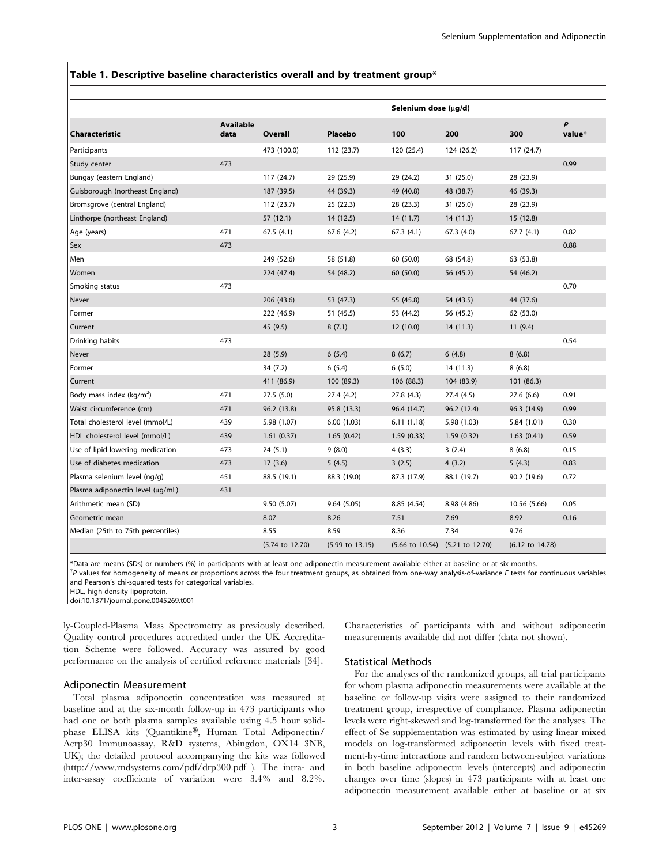## Table 1. Descriptive baseline characteristics overall and by treatment group\*

|                                   |                          |                            |                            | Selenium dose (µg/d) |                                 |                            |                                        |
|-----------------------------------|--------------------------|----------------------------|----------------------------|----------------------|---------------------------------|----------------------------|----------------------------------------|
| <b>Characteristic</b>             | <b>Available</b><br>data | Overall                    | Placebo                    | 100                  | 200                             | 300                        | $\boldsymbol{P}$<br>value <sup>+</sup> |
| Participants                      |                          | 473 (100.0)                | 112 (23.7)                 | 120 (25.4)           | 124 (26.2)                      | 117 (24.7)                 |                                        |
| Study center                      | 473                      |                            |                            |                      |                                 |                            | 0.99                                   |
| Bungay (eastern England)          |                          | 117 (24.7)                 | 29 (25.9)                  | 29 (24.2)            | 31 (25.0)                       | 28 (23.9)                  |                                        |
| Guisborough (northeast England)   |                          | 187 (39.5)                 | 44 (39.3)                  | 49 (40.8)            | 48 (38.7)                       | 46 (39.3)                  |                                        |
| Bromsgrove (central England)      |                          | 112 (23.7)                 | 25(22.3)                   | 28 (23.3)            | 31 (25.0)                       | 28 (23.9)                  |                                        |
| Linthorpe (northeast England)     |                          | 57 (12.1)                  | 14 (12.5)                  | 14(11.7)             | 14(11.3)                        | 15 (12.8)                  |                                        |
| Age (years)                       | 471                      | 67.5(4.1)                  | 67.6 (4.2)                 | 67.3(4.1)            | 67.3 (4.0)                      | 67.7(4.1)                  | 0.82                                   |
| Sex                               | 473                      |                            |                            |                      |                                 |                            | 0.88                                   |
| Men                               |                          | 249 (52.6)                 | 58 (51.8)                  | 60 (50.0)            | 68 (54.8)                       | 63 (53.8)                  |                                        |
| Women                             |                          | 224 (47.4)                 | 54 (48.2)                  | 60 (50.0)            | 56 (45.2)                       | 54 (46.2)                  |                                        |
| Smoking status                    | 473                      |                            |                            |                      |                                 |                            | 0.70                                   |
| Never                             |                          | 206 (43.6)                 | 53 (47.3)                  | 55 (45.8)            | 54 (43.5)                       | 44 (37.6)                  |                                        |
| Former                            |                          | 222 (46.9)                 | 51 (45.5)                  | 53 (44.2)            | 56 (45.2)                       | 62 (53.0)                  |                                        |
| Current                           |                          | 45 (9.5)                   | 8(7.1)                     | 12 (10.0)            | 14 (11.3)                       | 11(9.4)                    |                                        |
| Drinking habits                   | 473                      |                            |                            |                      |                                 |                            | 0.54                                   |
| Never                             |                          | 28(5.9)                    | 6(5.4)                     | 8(6.7)               | 6(4.8)                          | 8(6.8)                     |                                        |
| Former                            |                          | 34 (7.2)                   | 6(5.4)                     | 6(5.0)               | 14 (11.3)                       | 8(6.8)                     |                                        |
| Current                           |                          | 411 (86.9)                 | 100 (89.3)                 | 106 (88.3)           | 104 (83.9)                      | 101(86.3)                  |                                        |
| Body mass index ( $kg/m2$ )       | 471                      | 27.5(5.0)                  | 27.4 (4.2)                 | 27.8 (4.3)           | 27.4 (4.5)                      | 27.6(6.6)                  | 0.91                                   |
| Waist circumference (cm)          | 471                      | 96.2 (13.8)                | 95.8 (13.3)                | 96.4 (14.7)          | 96.2 (12.4)                     | 96.3 (14.9)                | 0.99                                   |
| Total cholesterol level (mmol/L)  | 439                      | 5.98 (1.07)                | 6.00(1.03)                 | 6.11(1.18)           | 5.98 (1.03)                     | 5.84 (1.01)                | 0.30                                   |
| HDL cholesterol level (mmol/L)    | 439                      | 1.61(0.37)                 | 1.65(0.42)                 | 1.59(0.33)           | 1.59(0.32)                      | 1.63(0.41)                 | 0.59                                   |
| Use of lipid-lowering medication  | 473                      | 24(5.1)                    | 9(8.0)                     | 4(3.3)               | 3(2.4)                          | 8(6.8)                     | 0.15                                   |
| Use of diabetes medication        | 473                      | 17(3.6)                    | 5(4.5)                     | 3(2.5)               | 4(3.2)                          | 5(4.3)                     | 0.83                                   |
| Plasma selenium level (ng/g)      | 451                      | 88.5 (19.1)                | 88.3 (19.0)                | 87.3 (17.9)          | 88.1 (19.7)                     | 90.2 (19.6)                | 0.72                                   |
| Plasma adiponectin level (µg/mL)  | 431                      |                            |                            |                      |                                 |                            |                                        |
| Arithmetic mean (SD)              |                          | 9.50(5.07)                 | 9.64(5.05)                 | 8.85 (4.54)          | 8.98 (4.86)                     | 10.56 (5.66)               | 0.05                                   |
| Geometric mean                    |                          | 8.07                       | 8.26                       | 7.51                 | 7.69                            | 8.92                       | 0.16                                   |
| Median (25th to 75th percentiles) |                          | 8.55                       | 8.59                       | 8.36                 | 7.34                            | 9.76                       |                                        |
|                                   |                          | $(5.74 \text{ to } 12.70)$ | $(5.99 \text{ to } 13.15)$ |                      | (5.66 to 10.54) (5.21 to 12.70) | $(6.12 \text{ to } 14.78)$ |                                        |

\*Data are means (SDs) or numbers (%) in participants with at least one adiponectin measurement available either at baseline or at six months.

 $\hbar$  values for homogeneity of means or proportions across the four treatment groups, as obtained from one-way analysis-of-variance F tests for continuous variables and Pearson's chi-squared tests for categorical variables.

HDL, high-density lipoprotein.

doi:10.1371/journal.pone.0045269.t001

ly-Coupled-Plasma Mass Spectrometry as previously described. Quality control procedures accredited under the UK Accreditation Scheme were followed. Accuracy was assured by good performance on the analysis of certified reference materials [34].

# Adiponectin Measurement

Total plasma adiponectin concentration was measured at baseline and at the six-month follow-up in 473 participants who had one or both plasma samples available using 4.5 hour solidphase ELISA kits (Quantikine®, Human Total Adiponectin/ Acrp30 Immunoassay, R&D systems, Abingdon, OX14 3NB, UK); the detailed protocol accompanying the kits was followed (http://www.rndsystems.com/pdf/drp300.pdf ). The intra- and inter-assay coefficients of variation were 3.4% and 8.2%.

Characteristics of participants with and without adiponectin measurements available did not differ (data not shown).

#### Statistical Methods

For the analyses of the randomized groups, all trial participants for whom plasma adiponectin measurements were available at the baseline or follow-up visits were assigned to their randomized treatment group, irrespective of compliance. Plasma adiponectin levels were right-skewed and log-transformed for the analyses. The effect of Se supplementation was estimated by using linear mixed models on log-transformed adiponectin levels with fixed treatment-by-time interactions and random between-subject variations in both baseline adiponectin levels (intercepts) and adiponectin changes over time (slopes) in 473 participants with at least one adiponectin measurement available either at baseline or at six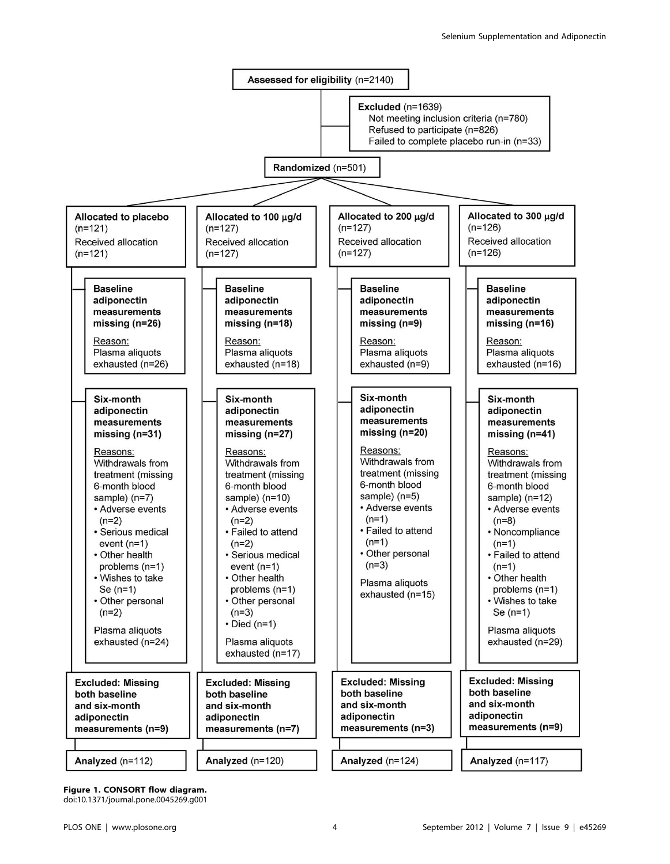

Figure 1. CONSORT flow diagram.

doi:10.1371/journal.pone.0045269.g001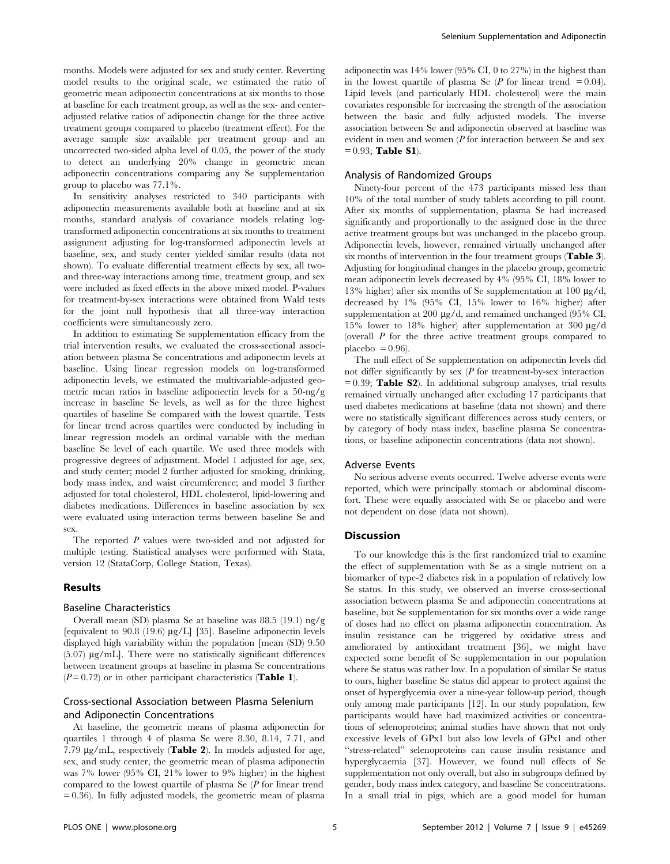months. Models were adjusted for sex and study center. Reverting model results to the original scale, we estimated the ratio of geometric mean adiponectin concentrations at six months to those at baseline for each treatment group, as well as the sex- and centeradjusted relative ratios of adiponectin change for the three active treatment groups compared to placebo (treatment effect). For the average sample size available per treatment group and an uncorrected two-sided alpha level of 0.05, the power of the study to detect an underlying 20% change in geometric mean adiponectin concentrations comparing any Se supplementation group to placebo was 77.1%.

In sensitivity analyses restricted to 340 participants with adiponectin measurements available both at baseline and at six months, standard analysis of covariance models relating logtransformed adiponectin concentrations at six months to treatment assignment adjusting for log-transformed adiponectin levels at baseline, sex, and study center yielded similar results (data not shown). To evaluate differential treatment effects by sex, all twoand three-way interactions among time, treatment group, and sex were included as fixed effects in the above mixed model. P-values for treatment-by-sex interactions were obtained from Wald tests for the joint null hypothesis that all three-way interaction coefficients were simultaneously zero.

In addition to estimating Se supplementation efficacy from the trial intervention results, we evaluated the cross-sectional association between plasma Se concentrations and adiponectin levels at baseline. Using linear regression models on log-transformed adiponectin levels, we estimated the multivariable-adjusted geometric mean ratios in baseline adiponectin levels for a 50-ng/g increase in baseline Se levels, as well as for the three highest quartiles of baseline Se compared with the lowest quartile. Tests for linear trend across quartiles were conducted by including in linear regression models an ordinal variable with the median baseline Se level of each quartile. We used three models with progressive degrees of adjustment. Model 1 adjusted for age, sex, and study center; model 2 further adjusted for smoking, drinking, body mass index, and waist circumference; and model 3 further adjusted for total cholesterol, HDL cholesterol, lipid-lowering and diabetes medications. Differences in baseline association by sex were evaluated using interaction terms between baseline Se and sex.

The reported P values were two-sided and not adjusted for multiple testing. Statistical analyses were performed with Stata, version 12 (StataCorp, College Station, Texas).

#### Results

#### Baseline Characteristics

Overall mean (SD) plasma Se at baseline was 88.5 (19.1) ng/g [equivalent to 90.8 (19.6) µg/L] [35]. Baseline adiponectin levels displayed high variability within the population [mean (SD) 9.50  $(5.07) \mu g/mL$ . There were no statistically significant differences between treatment groups at baseline in plasma Se concentrations  $(P=0.72)$  or in other participant characteristics (**Table 1**).

# Cross-sectional Association between Plasma Selenium and Adiponectin Concentrations

At baseline, the geometric means of plasma adiponectin for quartiles 1 through 4 of plasma Se were 8.30, 8.14, 7.71, and 7.79  $\mu$ g/mL, respectively (Table 2). In models adjusted for age, sex, and study center, the geometric mean of plasma adiponectin was 7% lower (95% CI, 21% lower to 9% higher) in the highest compared to the lowest quartile of plasma Se (P for linear trend = 0.36). In fully adjusted models, the geometric mean of plasma adiponectin was 14% lower (95% CI, 0 to 27%) in the highest than in the lowest quartile of plasma Se  $(P \text{ for linear trend } = 0.04)$ . Lipid levels (and particularly HDL cholesterol) were the main covariates responsible for increasing the strength of the association between the basic and fully adjusted models. The inverse association between Se and adiponectin observed at baseline was evident in men and women  $(P$  for interaction between Se and sex  $= 0.93$ ; Table S1).

#### Analysis of Randomized Groups

Ninety-four percent of the 473 participants missed less than 10% of the total number of study tablets according to pill count. After six months of supplementation, plasma Se had increased significantly and proportionally to the assigned dose in the three active treatment groups but was unchanged in the placebo group. Adiponectin levels, however, remained virtually unchanged after six months of intervention in the four treatment groups (Table 3). Adjusting for longitudinal changes in the placebo group, geometric mean adiponectin levels decreased by 4% (95% CI, 18% lower to 13% higher) after six months of Se supplementation at 100  $\mu$ g/d, decreased by 1% (95% CI, 15% lower to 16% higher) after supplementation at 200  $\mu$ g/d, and remained unchanged (95% CI, 15% lower to 18% higher) after supplementation at 300  $\mu$ g/d (overall P for the three active treatment groups compared to placebo  $= 0.96$ ).

The null effect of Se supplementation on adiponectin levels did not differ significantly by sex  $(P$  for treatment-by-sex interaction  $= 0.39$ ; **Table S2**). In additional subgroup analyses, trial results remained virtually unchanged after excluding 17 participants that used diabetes medications at baseline (data not shown) and there were no statistically significant differences across study centers, or by category of body mass index, baseline plasma Se concentrations, or baseline adiponectin concentrations (data not shown).

#### Adverse Events

No serious adverse events occurred. Twelve adverse events were reported, which were principally stomach or abdominal discomfort. These were equally associated with Se or placebo and were not dependent on dose (data not shown).

#### **Discussion**

To our knowledge this is the first randomized trial to examine the effect of supplementation with Se as a single nutrient on a biomarker of type-2 diabetes risk in a population of relatively low Se status. In this study, we observed an inverse cross-sectional association between plasma Se and adiponectin concentrations at baseline, but Se supplementation for six months over a wide range of doses had no effect on plasma adiponectin concentration. As insulin resistance can be triggered by oxidative stress and ameliorated by antioxidant treatment [36], we might have expected some benefit of Se supplementation in our population where Se status was rather low. In a population of similar Se status to ours, higher baseline Se status did appear to protect against the onset of hyperglycemia over a nine-year follow-up period, though only among male participants [12]. In our study population, few participants would have had maximized activities or concentrations of selenoproteins; animal studies have shown that not only excessive levels of GPx1 but also low levels of GPx1 and other ''stress-related'' selenoproteins can cause insulin resistance and hyperglycaemia [37]. However, we found null effects of Se supplementation not only overall, but also in subgroups defined by gender, body mass index category, and baseline Se concentrations. In a small trial in pigs, which are a good model for human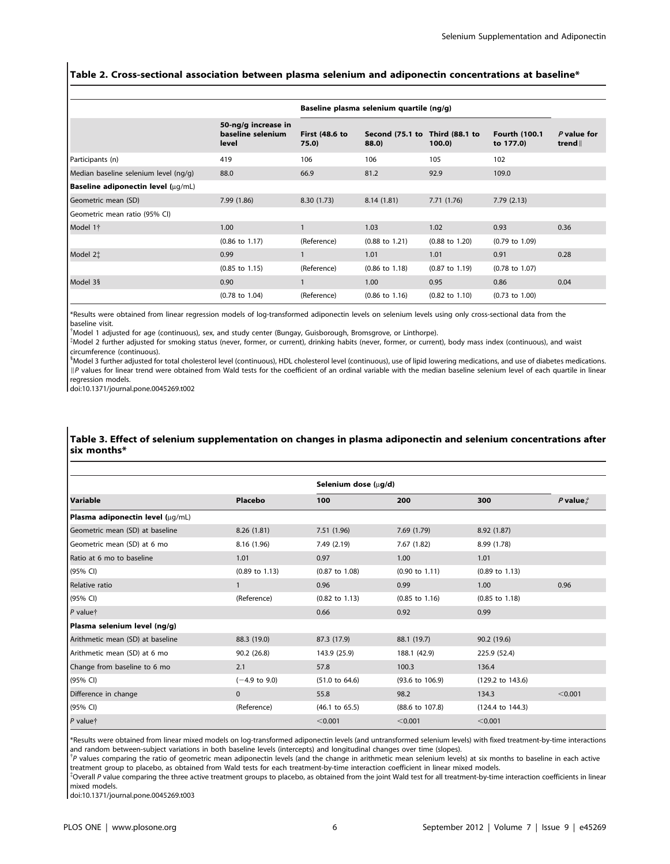# Table 2. Cross-sectional association between plasma selenium and adiponectin concentrations at baseline\*

|                                       |                                                   |                                | Baseline plasma selenium quartile (ng/g) |                           |                                   |                      |
|---------------------------------------|---------------------------------------------------|--------------------------------|------------------------------------------|---------------------------|-----------------------------------|----------------------|
|                                       | 50-ng/g increase in<br>baseline selenium<br>level | <b>First (48.6 to</b><br>75.0) | Second (75.1 to Third (88.1 to<br>88.0)  | 100.0                     | <b>Fourth (100.1</b><br>to 177.0) | P value for<br>trend |
| Participants (n)                      | 419                                               | 106                            | 106                                      | 105                       | 102                               |                      |
| Median baseline selenium level (ng/g) | 88.0                                              | 66.9                           | 81.2                                     | 92.9                      | 109.0                             |                      |
| Baseline adiponectin level (µq/mL)    |                                                   |                                |                                          |                           |                                   |                      |
| Geometric mean (SD)                   | 7.99(1.86)                                        | 8.30(1.73)                     | 8.14(1.81)                               | 7.71(1.76)                | 7.79(2.13)                        |                      |
| Geometric mean ratio (95% CI)         |                                                   |                                |                                          |                           |                                   |                      |
| Model 1†                              | 1.00                                              | 1                              | 1.03                                     | 1.02                      | 0.93                              | 0.36                 |
|                                       | $(0.86 \text{ to } 1.17)$                         | (Reference)                    | $(0.88 \text{ to } 1.21)$                | $(0.88 \text{ to } 1.20)$ | $(0.79 \text{ to } 1.09)$         |                      |
| Model 2‡                              | 0.99                                              |                                | 1.01                                     | 1.01                      | 0.91                              | 0.28                 |
|                                       | $(0.85 \text{ to } 1.15)$                         | (Reference)                    | $(0.86 \text{ to } 1.18)$                | $(0.87 \text{ to } 1.19)$ | $(0.78 \text{ to } 1.07)$         |                      |
| Model 3§                              | 0.90                                              |                                | 1.00                                     | 0.95                      | 0.86                              | 0.04                 |
|                                       | $(0.78 \text{ to } 1.04)$                         | (Reference)                    | $(0.86 \text{ to } 1.16)$                | $(0.82 \text{ to } 1.10)$ | $(0.73 \text{ to } 1.00)$         |                      |

\*Results were obtained from linear regression models of log-transformed adiponectin levels on selenium levels using only cross-sectional data from the baseline visit.

{ Model 1 adjusted for age (continuous), sex, and study center (Bungay, Guisborough, Bromsgrove, or Linthorpe).

{ Model 2 further adjusted for smoking status (never, former, or current), drinking habits (never, former, or current), body mass index (continuous), and waist circumference (continuous).

<sup>5</sup>Model 3 further adjusted for total cholesterol level (continuous), HDL cholesterol level (continuous), use of lipid lowering medications, and use of diabetes medications. IP values for linear trend were obtained from Wald tests for the coefficient of an ordinal variable with the median baseline selenium level of each quartile in linear regression models.

doi:10.1371/journal.pone.0045269.t002

# Table 3. Effect of selenium supplementation on changes in plasma adiponectin and selenium concentrations after six months\*

|                                  |                           | Selenium dose (µg/d)      |                            |                             |               |
|----------------------------------|---------------------------|---------------------------|----------------------------|-----------------------------|---------------|
| Variable                         | Placebo                   | 100                       | 200                        | 300                         | $P$ value $t$ |
| Plasma adiponectin level (µq/mL) |                           |                           |                            |                             |               |
| Geometric mean (SD) at baseline  | 8.26(1.81)                | 7.51 (1.96)               | 7.69(1.79)                 | 8.92 (1.87)                 |               |
| Geometric mean (SD) at 6 mo      | 8.16 (1.96)               | 7.49 (2.19)               | 7.67 (1.82)                | 8.99 (1.78)                 |               |
| Ratio at 6 mo to baseline        | 1.01                      | 0.97                      | 1.00                       | 1.01                        |               |
| (95% CI)                         | $(0.89 \text{ to } 1.13)$ | $(0.87 \text{ to } 1.08)$ | $(0.90 \text{ to } 1.11)$  | $(0.89 \text{ to } 1.13)$   |               |
| Relative ratio                   | $\mathbf{1}$              | 0.96                      | 0.99                       | 1.00                        | 0.96          |
| (95% CI)                         | (Reference)               | $(0.82 \text{ to } 1.13)$ | $(0.85 \text{ to } 1.16)$  | $(0.85 \text{ to } 1.18)$   |               |
| $P$ value†                       |                           | 0.66                      | 0.92                       | 0.99                        |               |
| Plasma selenium level (ng/g)     |                           |                           |                            |                             |               |
| Arithmetic mean (SD) at baseline | 88.3 (19.0)               | 87.3 (17.9)               | 88.1 (19.7)                | 90.2 (19.6)                 |               |
| Arithmetic mean (SD) at 6 mo     | 90.2 (26.8)               | 143.9 (25.9)              | 188.1 (42.9)               | 225.9 (52.4)                |               |
| Change from baseline to 6 mo     | 2.1                       | 57.8                      | 100.3                      | 136.4                       |               |
| (95% CI)                         | $(-4.9 \text{ to } 9.0)$  | $(51.0 \text{ to } 64.6)$ | $(93.6 \text{ to } 106.9)$ | (129.2 to 143.6)            |               |
| Difference in change             | $\mathbf{0}$              | 55.8                      | 98.2                       | 134.3                       | < 0.001       |
| (95% CI)                         | (Reference)               | $(46.1 \text{ to } 65.5)$ | (88.6 to 107.8)            | $(124.4 \text{ to } 144.3)$ |               |
| $P$ value†                       |                           | < 0.001                   | < 0.001                    | < 0.001                     |               |

\*Results were obtained from linear mixed models on log-transformed adiponectin levels (and untransformed selenium levels) with fixed treatment-by-time interactions and random between-subject variations in both baseline levels (intercepts) and longitudinal changes over time (slopes).

<sup>†</sup>P values comparing the ratio of geometric mean adiponectin levels (and the change in arithmetic mean selenium levels) at six months to baseline in each active treatment group to placebo, as obtained from Wald tests for each treatment-by-time interaction coefficient in linear mixed models.

\*Overall P value comparing the three active treatment groups to placebo, as obtained from the joint Wald test for all treatment-by-time interaction coefficients in linear mixed models.

doi:10.1371/journal.pone.0045269.t003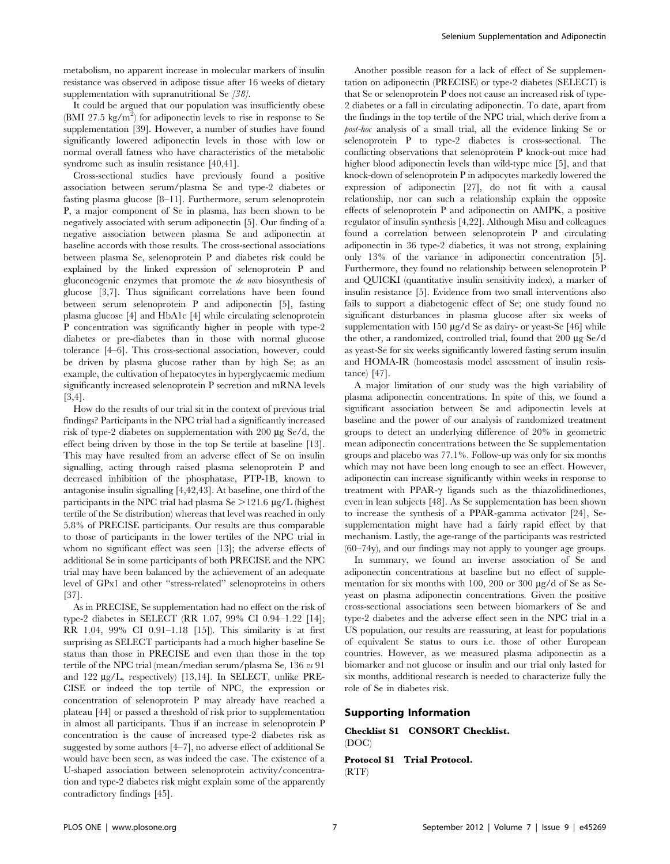metabolism, no apparent increase in molecular markers of insulin resistance was observed in adipose tissue after 16 weeks of dietary supplementation with supranutritional Se [38].

It could be argued that our population was insufficiently obese (BMI 27.5 kg/m<sup>2</sup>) for adiponectin levels to rise in response to Se supplementation [39]. However, a number of studies have found significantly lowered adiponectin levels in those with low or normal overall fatness who have characteristics of the metabolic syndrome such as insulin resistance [40,41].

Cross-sectional studies have previously found a positive association between serum/plasma Se and type-2 diabetes or fasting plasma glucose [8–11]. Furthermore, serum selenoprotein P, a major component of Se in plasma, has been shown to be negatively associated with serum adiponectin [5]. Our finding of a negative association between plasma Se and adiponectin at baseline accords with those results. The cross-sectional associations between plasma Se, selenoprotein P and diabetes risk could be explained by the linked expression of selenoprotein P and gluconeogenic enzymes that promote the de novo biosynthesis of glucose [3,7]. Thus significant correlations have been found between serum selenoprotein P and adiponectin [5], fasting plasma glucose [4] and HbA1c [4] while circulating selenoprotein P concentration was significantly higher in people with type-2 diabetes or pre-diabetes than in those with normal glucose tolerance [4–6]. This cross-sectional association, however, could be driven by plasma glucose rather than by high Se; as an example, the cultivation of hepatocytes in hyperglycaemic medium significantly increased selenoprotein P secretion and mRNA levels [3,4].

How do the results of our trial sit in the context of previous trial findings? Participants in the NPC trial had a significantly increased risk of type-2 diabetes on supplementation with  $200 \mu$ g Se/d, the effect being driven by those in the top Se tertile at baseline [13]. This may have resulted from an adverse effect of Se on insulin signalling, acting through raised plasma selenoprotein P and decreased inhibition of the phosphatase, PTP-1B, known to antagonise insulin signalling [4,42,43]. At baseline, one third of the participants in the NPC trial had plasma  $\text{Se} > 121.6 \text{ µg/L}$  (highest tertile of the Se distribution) whereas that level was reached in only 5.8% of PRECISE participants. Our results are thus comparable to those of participants in the lower tertiles of the NPC trial in whom no significant effect was seen [13]; the adverse effects of additional Se in some participants of both PRECISE and the NPC trial may have been balanced by the achievement of an adequate level of GPx1 and other ''stress-related'' selenoproteins in others [37].

As in PRECISE, Se supplementation had no effect on the risk of type-2 diabetes in SELECT (RR 1.07, 99% CI 0.94–1.22 [14]; RR 1.04, 99% CI 0.91–1.18 [15]). This similarity is at first surprising as SELECT participants had a much higher baseline Se status than those in PRECISE and even than those in the top tertile of the NPC trial (mean/median serum/plasma Se, 136 vs 91 and 122 µg/L, respectively) [13,14]. In SELECT, unlike PRE-CISE or indeed the top tertile of NPC, the expression or concentration of selenoprotein P may already have reached a plateau [44] or passed a threshold of risk prior to supplementation in almost all participants. Thus if an increase in selenoprotein P concentration is the cause of increased type-2 diabetes risk as suggested by some authors [4–7], no adverse effect of additional Se would have been seen, as was indeed the case. The existence of a U-shaped association between selenoprotein activity/concentration and type-2 diabetes risk might explain some of the apparently contradictory findings [45].

Another possible reason for a lack of effect of Se supplementation on adiponectin (PRECISE) or type-2 diabetes (SELECT) is that Se or selenoprotein P does not cause an increased risk of type-2 diabetes or a fall in circulating adiponectin. To date, apart from the findings in the top tertile of the NPC trial, which derive from a post-hoc analysis of a small trial, all the evidence linking Se or selenoprotein P to type-2 diabetes is cross-sectional. The conflicting observations that selenoprotein P knock-out mice had higher blood adiponectin levels than wild-type mice [5], and that knock-down of selenoprotein P in adipocytes markedly lowered the expression of adiponectin [27], do not fit with a causal relationship, nor can such a relationship explain the opposite effects of selenoprotein P and adiponectin on AMPK, a positive regulator of insulin synthesis [4,22]. Although Misu and colleagues found a correlation between selenoprotein P and circulating adiponectin in 36 type-2 diabetics, it was not strong, explaining only 13% of the variance in adiponectin concentration [5]. Furthermore, they found no relationship between selenoprotein P and QUICKI (quantitative insulin sensitivity index), a marker of insulin resistance [5]. Evidence from two small interventions also fails to support a diabetogenic effect of Se; one study found no significant disturbances in plasma glucose after six weeks of supplementation with 150  $\mu$ g/d Se as dairy- or yeast-Se [46] while the other, a randomized, controlled trial, found that  $200 \mu g$  Se/d as yeast-Se for six weeks significantly lowered fasting serum insulin and HOMA-IR (homeostasis model assessment of insulin resistance) [47].

A major limitation of our study was the high variability of plasma adiponectin concentrations. In spite of this, we found a significant association between Se and adiponectin levels at baseline and the power of our analysis of randomized treatment groups to detect an underlying difference of 20% in geometric mean adiponectin concentrations between the Se supplementation groups and placebo was 77.1%. Follow-up was only for six months which may not have been long enough to see an effect. However, adiponectin can increase significantly within weeks in response to treatment with PPAR- $\gamma$  ligands such as the thiazolidinediones, even in lean subjects [48]. As Se supplementation has been shown to increase the synthesis of a PPAR-gamma activator [24], Sesupplementation might have had a fairly rapid effect by that mechanism. Lastly, the age-range of the participants was restricted (60–74y), and our findings may not apply to younger age groups.

In summary, we found an inverse association of Se and adiponectin concentrations at baseline but no effect of supplementation for six months with 100, 200 or 300 µg/d of Se as Seyeast on plasma adiponectin concentrations. Given the positive cross-sectional associations seen between biomarkers of Se and type-2 diabetes and the adverse effect seen in the NPC trial in a US population, our results are reassuring, at least for populations of equivalent Se status to ours i.e. those of other European countries. However, as we measured plasma adiponectin as a biomarker and not glucose or insulin and our trial only lasted for six months, additional research is needed to characterize fully the role of Se in diabetes risk.

## Supporting Information

Checklist S1 CONSORT Checklist. (DOC)

Protocol S1 Trial Protocol.  $(RTF)$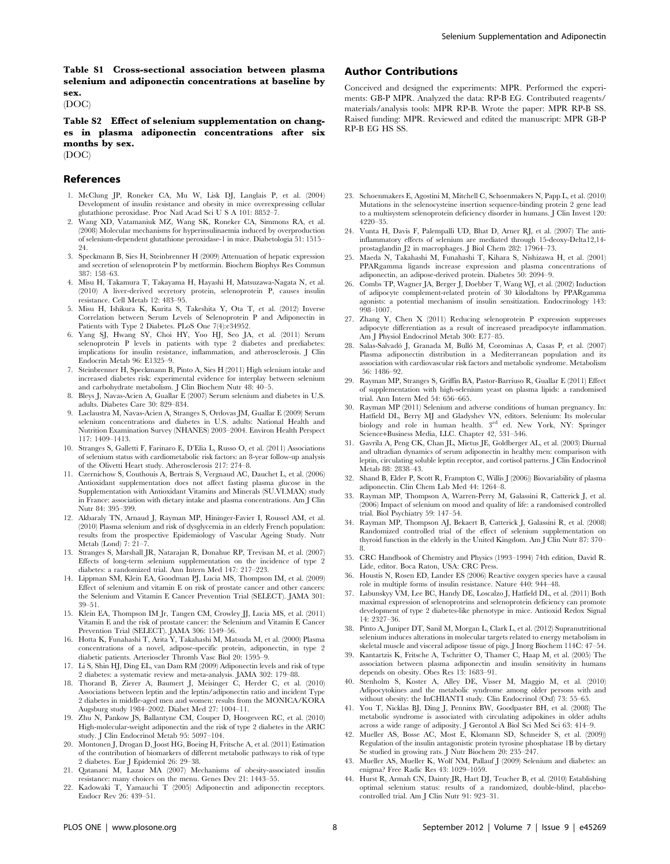Table S1 Cross-sectional association between plasma selenium and adiponectin concentrations at baseline by sex.

(DOC)

Table S2 Effect of selenium supplementation on changes in plasma adiponectin concentrations after six months by sex.

(DOC)

## References

- 1. McClung JP, Roneker CA, Mu W, Lisk DJ, Langlais P, et al. (2004) Development of insulin resistance and obesity in mice overexpressing cellular glutathione peroxidase. Proc Natl Acad Sci U S A 101: 8852–7.
- 2. Wang XD, Vatamaniuk MZ, Wang SK, Roneker CA, Simmons RA, et al. (2008) Molecular mechanisms for hyperinsulinaemia induced by overproduction of selenium-dependent glutathione peroxidase-1 in mice. Diabetologia 51: 1515– 24.
- 3. Speckmann B, Sies H, Steinbrenner H (2009) Attenuation of hepatic expression and secretion of selenoprotein P by metformin. Biochem Biophys Res Commun 387: 158–63.
- 4. Misu H, Takamura T, Takayama H, Hayashi H, Matsuzawa-Nagata N, et al. (2010) A liver-derived secretory protein, selenoprotein P, causes insulin resistance. Cell Metab 12: 483–95.
- 5. Misu H, Ishikura K, Kurita S, Takeshita Y, Ota T, et al. (2012) Inverse Correlation between Serum Levels of Selenoprotein P and Adiponectin in Patients with Type 2 Diabetes. PLoS One 7(4):e34952.
- 6. Yang SJ, Hwang SY, Choi HY, Yoo HJ, Seo JA, et al. (2011) Serum selenoprotein P levels in patients with type 2 diabetes and prediabetes: implications for insulin resistance, inflammation, and atherosclerosis. J Clin Endocrin Metab 96: E1325–9.
- 7. Steinbrenner H, Speckmann B, Pinto A, Sies H (2011) High selenium intake and increased diabetes risk: experimental evidence for interplay between selenium and carbohydrate metabolism. J Clin Biochem Nutr 48: 40–5.
- 8. Bleys J, Navas-Acien A, Guallar E (2007) Serum selenium and diabetes in U.S. adults. Diabetes Care 30: 829–834.
- 9. Laclaustra M, Navas-Acien A, Stranges S, Ordovas JM, Guallar E (2009) Serum selenium concentrations and diabetes in U.S. adults: National Health and Nutrition Examination Survey (NHANES) 2003–2004. Environ Health Perspect 117: 1409–1413.
- 10. Stranges S, Galletti F, Farinaro E, D'Elia L, Russo O, et al. (2011) Associations of selenium status with cardiometabolic risk factors: an 8-year follow-up analysis of the Olivetti Heart study. Atherosclerosis 217: 274–8.
- 11. Czernichow S, Couthouis A, Bertrais S, Vergnaud AC, Dauchet L, et al. (2006) Antioxidant supplementation does not affect fasting plasma glucose in the Supplementation with Antioxidant Vitamins and Minerals (SU.VI.MAX) study in France: association with dietary intake and plasma concentrations. Am J Clin Nutr 84: 395–399.
- 12. Akbaraly TN, Arnaud J, Rayman MP, Hininger-Favier I, Roussel AM, et al. (2010) Plasma selenium and risk of dysglycemia in an elderly French population: results from the prospective Epidemiology of Vascular Ageing Study. Nutr Metab (Lond) 7: 21–7.
- 13. Stranges S, Marshall JR, Natarajan R, Donahue RP, Trevisan M, et al. (2007) Effects of long-term selenium supplementation on the incidence of type 2 diabetes: a randomized trial. Ann Intern Med 147: 217–223.
- 14. Lippman SM, Klein EA, Goodman PJ, Lucia MS, Thompson IM, et al. (2009) Effect of selenium and vitamin E on risk of prostate cancer and other cancers: the Selenium and Vitamin E Cancer Prevention Trial (SELECT). JAMA 301: 39–51.
- 15. Klein EA, Thompson IM Jr, Tangen CM, Crowley JJ, Lucia MS, et al. (2011) Vitamin E and the risk of prostate cancer: the Selenium and Vitamin E Cancer Prevention Trial (SELECT). JAMA 306: 1549–56.
- 16. Hotta K, Funahashi T, Arita Y, Takahashi M, Matsuda M, et al. (2000) Plasma concentrations of a novel, adipose-specific protein, adiponectin, in type 2 diabetic patients. Arterioscler Thromb Vasc Biol 20: 1595–9.
- 17. Li S, Shin HJ, Ding EL, van Dam RM (2009) Adiponectin levels and risk of type
- 2 diabetes: a systematic review and meta-analysis. JAMA 302: 179–88. 18. Thorand B, Zierer A, Baumert J, Meisinger C, Herder C, et al. (2010) Associations between leptin and the leptin/adiponectin ratio and incident Type 2 diabetes in middle-aged men and women: results from the MONICA/KORA Augsburg study 1984–2002. Diabet Med 27: 1004–11.
- 19. Zhu N, Pankow JS, Ballantyne CM, Couper D, Hoogeveen RC, et al. (2010) High-molecular-weight adiponectin and the risk of type 2 diabetes in the ARIC study. J Clin Endocrinol Metab 95: 5097–104.
- 20. Montonen J, Drogan D, Joost HG, Boeing H, Fritsche A, et al. (2011) Estimation of the contribution of biomarkers of different metabolic pathways to risk of type 2 diabetes. Eur J Epidemiol 26: 29–38.
- 21. Qatanani M, Lazar MA (2007) Mechanisms of obesity-associated insulin resistance: many choices on the menu. Genes Dev 21: 1443–55.
- 22. Kadowaki T, Yamauchi T (2005) Adiponectin and adiponectin receptors. Endocr Rev 26: 439–51.

# Author Contributions

Conceived and designed the experiments: MPR. Performed the experiments: GB-P MPR. Analyzed the data: RP-B EG. Contributed reagents/ materials/analysis tools: MPR RP-B. Wrote the paper: MPR RP-B SS. Raised funding: MPR. Reviewed and edited the manuscript: MPR GB-P RP-B EG HS SS.

- 23. Schoenmakers E, Agostini M, Mitchell C, Schoenmakers N, Papp L, et al. (2010) Mutations in the selenocysteine insertion sequence-binding protein 2 gene lead to a multisystem selenoprotein deficiency disorder in humans. J Clin Invest 120: 4220–35.
- 24. Vunta H, Davis F, Palempalli UD, Bhat D, Arner RJ, et al. (2007) The antiinflammatory effects of selenium are mediated through 15-deoxy-Delta12,14 prostaglandin J2 in macrophages. J Biol Chem 282: 17964–73.
- 25. Maeda N, Takahashi M, Funahashi T, Kihara S, Nishizawa H, et al. (2001) PPARgamma ligands increase expression and plasma concentrations of adiponectin, an adipose-derived protein. Diabetes 50: 2094–9.
- 26. Combs TP, Wagner JA, Berger J, Doebber T, Wang WJ, et al. (2002) Induction of adipocyte complement-related protein of 30 kilodaltons by PPARgamma agonists: a potential mechanism of insulin sensitization. Endocrinology 143: 998–1007.
- 27. Zhang Y, Chen X (2011) Reducing selenoprotein P expression suppresses adipocyte differentiation as a result of increased preadipocyte inflammation. Am J Physiol Endocrinol Metab 300: E77–85.
- 28. Salas-Salvadó J, Granada M, Bulló M, Corominas A, Casas P, et al. (2007) Plasma adiponectin distribution in a Mediterranean population and its association with cardiovascular risk factors and metabolic syndrome. Metabolism 56: 1486–92.
- 29. Rayman MP, Stranges S, Griffin BA, Pastor-Barriuso R, Guallar E (2011) Effect of supplementation with high-selenium yeast on plasma lipids: a randomised trial. Ann Intern Med 54: 656–665.
- 30. Rayman MP (2011) Selenium and adverse conditions of human pregnancy. In: Hatfield DL, Berry MJ and Gladyshev VN, editors. Selenium: Its molecular biology and role in human health. 3<sup>rd</sup> ed. New York, NY: Springer Science+Business Media, LLC. Chapter 42, 531–546.
- 31. Gavrila A, Peng CK, Chan JL, Mietus JE, Goldberger AL, et al. (2003) Diurnal and ultradian dynamics of serum adiponectin in healthy men: comparison with leptin, circulating soluble leptin receptor, and cortisol patterns. J Clin Endocrinol Metab 88: 2838–43.
- 32. Shand B, Elder P, Scott R, Frampton C, Willis J (2006)) Biovariability of plasma adiponectin. Clin Chem Lab Med 44: 1264–8.
- 33. Rayman MP, Thompson A, Warren-Perry M, Galassini R, Catterick J, et al. (2006) Impact of selenium on mood and quality of life: a randomised controlled trial. Biol Psychiatry 59: 147–54.
- 34. Rayman MP, Thompson AJ, Bekaert B, Catterick J, Galassini R, et al. (2008) Randomized controlled trial of the effect of selenium supplementation on thyroid function in the elderly in the United Kingdom. Am J Clin Nutr 87: 370– 8.
- 35. CRC Handbook of Chemistry and Physics (1993–1994) 74th edition, David R. Lide, editor. Boca Raton, USA: CRC Press.
- 36. Houstis N, Rosen ED, Lander ES (2006) Reactive oxygen species have a causal role in multiple forms of insulin resistance. Nature 440: 944–48.
- 37. Labunskyy VM, Lee BC, Handy DE, Loscalzo J, Hatfield DL, et al. (2011) Both maximal expression of selenoproteins and selenoprotein deficiency can promote development of type 2 diabetes-like phenotype in mice. Antioxid Redox Signal 14: 2327–36.
- 38. Pinto A, Juniper DT, Sanil M, Morgan L, Clark L, et al. (2012) Supranutritional selenium induces alterations in molecular targets related to energy metabolism in skeletal muscle and visceral adipose tissue of pigs. J Inorg Biochem 114C: 47–54.
- 39. Kantartzis K, Fritsche A, Tschritter O, Thamer C, Haap M, et al. (2005) The association between plasma adiponectin and insulin sensitivity in humans depends on obesity. Obes Res 13: 1683–91.
- 40. Stenholm S, Koster A, Alley DE, Visser M, Maggio M, et al. (2010) Adipocytokines and the metabolic syndrome among older persons with and without obesity: the InCHIANTI study. Clin Endocrinol (Oxf) 73: 55–65.
- 41. You T, Nicklas BJ, Ding J, Penninx BW, Goodpaster BH, et al. (2008) The metabolic syndrome is associated with circulating adipokines in older adults across a wide range of adiposity. J Gerontol A Biol Sci Med Sci 63: 414–9.
- 42. Mueller AS, Bosse AC, Most E, Klomann SD, Schneider S, et al. (2009)) Regulation of the insulin antagonistic protein tyrosine phosphatase 1B by dietary Se studied in growing rats. J Nutr Biochem 20: 235–247.
- 43. Mueller AS, Mueller K, Wolf NM, Pallauf J (2009) Selenium and diabetes: an enigma? Free Radic Res 43: 1029–1059.
- 44. Hurst R, Armah CN, Dainty JR, Hart DJ, Teucher B, et al. (2010) Establishing optimal selenium status: results of a randomized, double-blind, placebocontrolled trial. Am J Clin Nutr 91: 923–31.